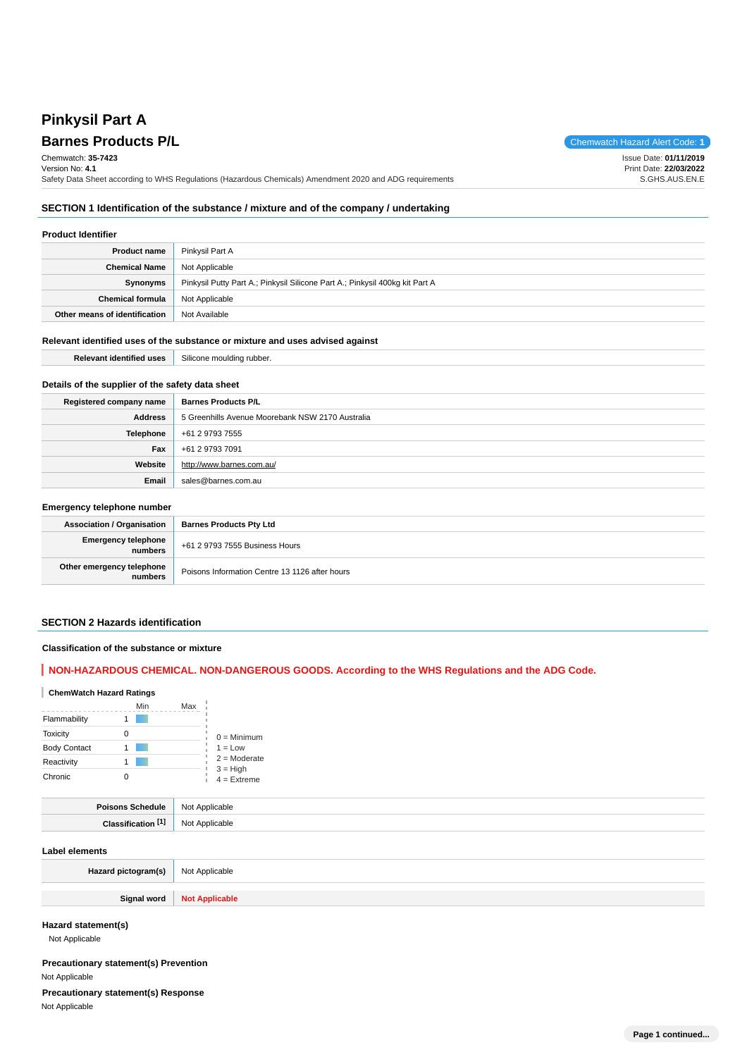# **Pinkysil Part A**

**Barnes Products P/L Chemwatch Hazard Alert Code: 1** Chemwatch: **35-7423** Version No: **4.1** Safety Data Sheet according to WHS Regulations (Hazardous Chemicals) Amendment 2020 and ADG requirements Issue Date: **01/11/2019** Print Date: **22/03/2022** S.GHS.AUS.EN.E

# **SECTION 1 Identification of the substance / mixture and of the company / undertaking**

#### **Product Identifier**

| <b>Product name</b>           | Pinkysil Part A                                                              |  |  |  |
|-------------------------------|------------------------------------------------------------------------------|--|--|--|
| <b>Chemical Name</b>          | Not Applicable                                                               |  |  |  |
| Synonyms                      | Pinkysil Putty Part A.; Pinkysil Silicone Part A.; Pinkysil 400kg kit Part A |  |  |  |
| <b>Chemical formula</b>       | Not Applicable                                                               |  |  |  |
| Other means of identification | Not Available                                                                |  |  |  |

#### **Relevant identified uses of the substance or mixture and uses advised against**

| ---            | $- \cdot \cdot$ |
|----------------|-----------------|
| $\blacksquare$ | - 111           |
| 90б.           | nna             |
|                | זוור            |
| .              | $\cdots$        |
|                |                 |

### **Details of the supplier of the safety data sheet**

| Registered company name | <b>Barnes Products P/L</b>                       |
|-------------------------|--------------------------------------------------|
| Address                 | 5 Greenhills Avenue Moorebank NSW 2170 Australia |
| Telephone               | +61 2 9793 7555                                  |
| Fax                     | +61 2 9793 7091                                  |
| Website                 | http://www.barnes.com.au/                        |
| Email                   | sales@barnes.com.au                              |

#### **Emergency telephone number**

| <b>Association / Organisation</b>    | <b>Barnes Products Pty Ltd</b>                 |  |
|--------------------------------------|------------------------------------------------|--|
| Emergency telephone<br>numbers       | +61 2 9793 7555 Business Hours                 |  |
| Other emergency telephone<br>numbers | Poisons Information Centre 13 1126 after hours |  |

#### **SECTION 2 Hazards identification**

#### **Classification of the substance or mixture**

# **NON-HAZARDOUS CHEMICAL. NON-DANGEROUS GOODS. According to the WHS Regulations and the ADG Code.**

# **ChemWatch Hazard Ratings**

|                     | Min | Max                         |
|---------------------|-----|-----------------------------|
| Flammability        |     |                             |
| <b>Toxicity</b>     |     | $0 =$ Minimum               |
| <b>Body Contact</b> |     | $1 = Low$                   |
| Reactivity          |     | $2 =$ Moderate              |
| Chronic             |     | $3 = High$<br>$4 =$ Extreme |

| .               | <b>NC</b><br>. |
|-----------------|----------------|
| EA <sup>*</sup> |                |

#### **Label elements**

| Hazard pictogram(s) | Not Applicable        |
|---------------------|-----------------------|
| Signal word         | <b>Not Applicable</b> |

**Hazard statement(s)**

Not Applicable

**Precautionary statement(s) Prevention** Not Applicable

**Precautionary statement(s) Response**

Not Applicable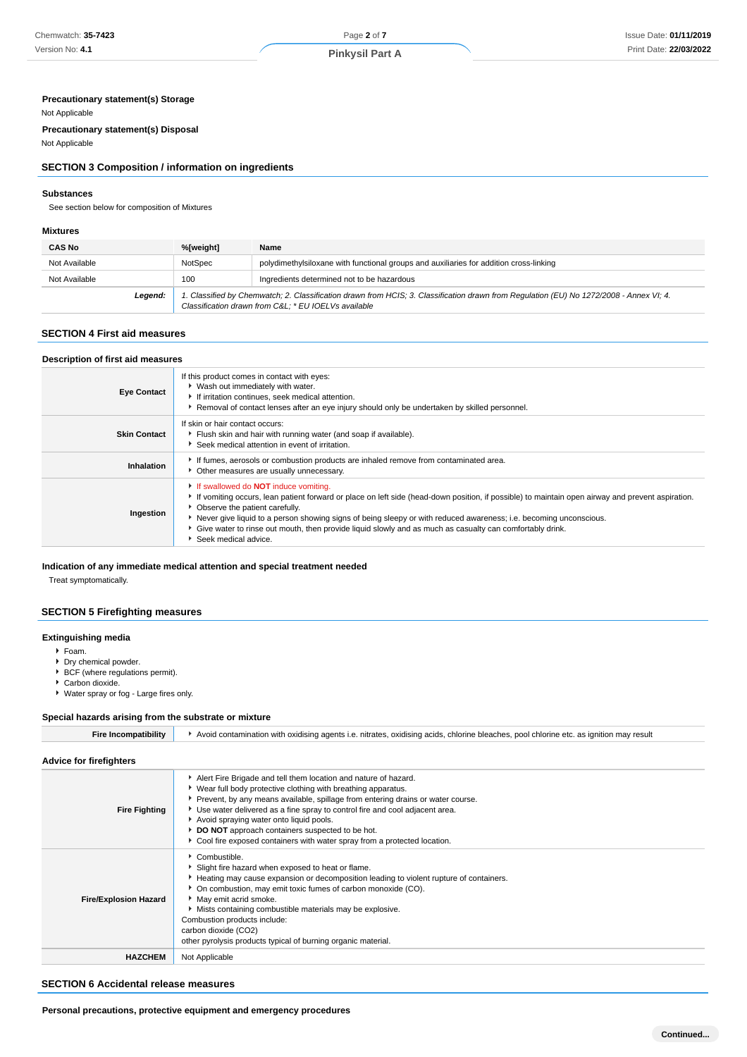# **Precautionary statement(s) Storage**

#### Not Applicable

**Precautionary statement(s) Disposal**

# Not Applicable

# **SECTION 3 Composition / information on ingredients**

#### **Substances**

See section below for composition of Mixtures

#### **Mixtures**

| <b>CAS No</b> | %[weight]                                                                                                                                                                                      | Name                                                                                   |  |
|---------------|------------------------------------------------------------------------------------------------------------------------------------------------------------------------------------------------|----------------------------------------------------------------------------------------|--|
| Not Available | NotSpec                                                                                                                                                                                        | polydimethylsiloxane with functional groups and auxiliaries for addition cross-linking |  |
| Not Available | 100                                                                                                                                                                                            | Ingredients determined not to be hazardous                                             |  |
| Legend:       | 1. Classified by Chemwatch; 2. Classification drawn from HCIS; 3. Classification drawn from Regulation (EU) No 1272/2008 - Annex VI; 4.<br>Classification drawn from C&L * EU IOELVs available |                                                                                        |  |

#### **SECTION 4 First aid measures**

#### **Description of first aid measures**

| <b>Eye Contact</b>  | If this product comes in contact with eyes:<br>▶ Wash out immediately with water.<br>If irritation continues, seek medical attention.<br>▶ Removal of contact lenses after an eye injury should only be undertaken by skilled personnel.                                                                                                                                                                                                                                                       |
|---------------------|------------------------------------------------------------------------------------------------------------------------------------------------------------------------------------------------------------------------------------------------------------------------------------------------------------------------------------------------------------------------------------------------------------------------------------------------------------------------------------------------|
| <b>Skin Contact</b> | If skin or hair contact occurs:<br>Flush skin and hair with running water (and soap if available).<br>Seek medical attention in event of irritation.                                                                                                                                                                                                                                                                                                                                           |
| Inhalation          | If fumes, aerosols or combustion products are inhaled remove from contaminated area.<br>• Other measures are usually unnecessary.                                                                                                                                                                                                                                                                                                                                                              |
| Ingestion           | If swallowed do <b>NOT</b> induce vomiting.<br>If vomiting occurs, lean patient forward or place on left side (head-down position, if possible) to maintain open airway and prevent aspiration.<br>• Observe the patient carefully.<br>Never give liquid to a person showing signs of being sleepy or with reduced awareness; i.e. becoming unconscious.<br>• Give water to rinse out mouth, then provide liquid slowly and as much as casualty can comfortably drink.<br>Seek medical advice. |

#### **Indication of any immediate medical attention and special treatment needed**

Treat symptomatically.

#### **SECTION 5 Firefighting measures**

# **Extinguishing media**

Foam.

- **Dry chemical powder.**
- ▶ BCF (where regulations permit).
- ▶ Carbon dioxide.
- Water spray or fog Large fires only.

#### **Special hazards arising from the substrate or mixture**

| <b>Fire Incompatibility</b>    | Avoid contamination with oxidising agents i.e. nitrates, oxidising acids, chlorine bleaches, pool chlorine etc. as ignition may result                                                                                                                                                                                                                                                                                                                                          |
|--------------------------------|---------------------------------------------------------------------------------------------------------------------------------------------------------------------------------------------------------------------------------------------------------------------------------------------------------------------------------------------------------------------------------------------------------------------------------------------------------------------------------|
| <b>Advice for firefighters</b> |                                                                                                                                                                                                                                                                                                                                                                                                                                                                                 |
| <b>Fire Fighting</b>           | Alert Fire Brigade and tell them location and nature of hazard.<br>▶ Wear full body protective clothing with breathing apparatus.<br>Prevent, by any means available, spillage from entering drains or water course.<br>► Use water delivered as a fine spray to control fire and cool adjacent area.<br>Avoid spraying water onto liquid pools.<br>DO NOT approach containers suspected to be hot.<br>Cool fire exposed containers with water spray from a protected location. |
| <b>Fire/Explosion Hazard</b>   | Combustible.<br>Slight fire hazard when exposed to heat or flame.<br>Heating may cause expansion or decomposition leading to violent rupture of containers.<br>• On combustion, may emit toxic fumes of carbon monoxide (CO).<br>May emit acrid smoke.<br>Mists containing combustible materials may be explosive.<br>Combustion products include:<br>carbon dioxide (CO2)<br>other pyrolysis products typical of burning organic material.                                     |
| <b>HAZCHEM</b>                 | Not Applicable                                                                                                                                                                                                                                                                                                                                                                                                                                                                  |
|                                |                                                                                                                                                                                                                                                                                                                                                                                                                                                                                 |

### **SECTION 6 Accidental release measures**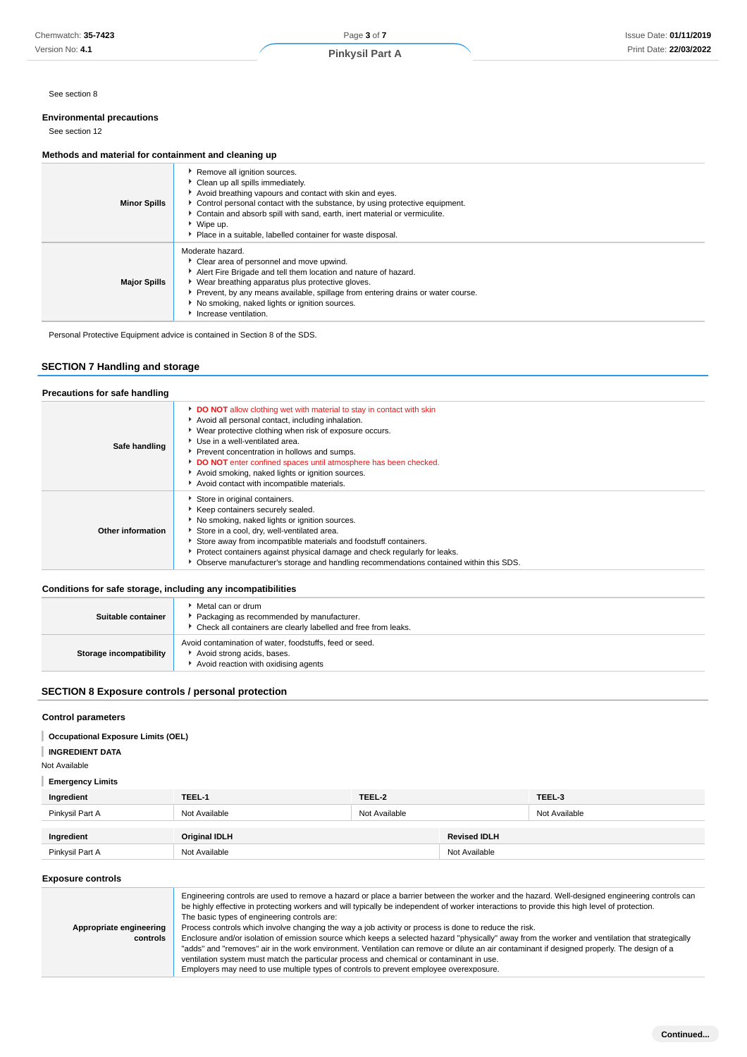# **Environmental precautions**

# See section 12

#### **Methods and material for containment and cleaning up**

| <b>Minor Spills</b> | Remove all ignition sources.<br>Clean up all spills immediately.<br>Avoid breathing vapours and contact with skin and eyes.<br>• Control personal contact with the substance, by using protective equipment.<br>• Contain and absorb spill with sand, earth, inert material or vermiculite.<br>$\bullet$ Wipe up.<br>Place in a suitable, labelled container for waste disposal. |
|---------------------|----------------------------------------------------------------------------------------------------------------------------------------------------------------------------------------------------------------------------------------------------------------------------------------------------------------------------------------------------------------------------------|
| <b>Major Spills</b> | Moderate hazard.<br>Clear area of personnel and move upwind.<br>Alert Fire Brigade and tell them location and nature of hazard.<br>• Wear breathing apparatus plus protective gloves.<br>Prevent, by any means available, spillage from entering drains or water course.<br>No smoking, naked lights or ignition sources.<br>Increase ventilation.                               |

# **SECTION 7 Handling and storage**

| Chemwatch: 35-7423                                                                   |                                                                                                                                                                                                                                                                                                                                                                                                                | Page 3 of 7                                                                                                                                                                                                                                                                                                                                                                                                                                                                                                                                                                                                                                                                                                                                                                                                                                                                                     |               |                         | Issue Date: 01/11/201 |  |
|--------------------------------------------------------------------------------------|----------------------------------------------------------------------------------------------------------------------------------------------------------------------------------------------------------------------------------------------------------------------------------------------------------------------------------------------------------------------------------------------------------------|-------------------------------------------------------------------------------------------------------------------------------------------------------------------------------------------------------------------------------------------------------------------------------------------------------------------------------------------------------------------------------------------------------------------------------------------------------------------------------------------------------------------------------------------------------------------------------------------------------------------------------------------------------------------------------------------------------------------------------------------------------------------------------------------------------------------------------------------------------------------------------------------------|---------------|-------------------------|-----------------------|--|
| Version No: 4.1                                                                      |                                                                                                                                                                                                                                                                                                                                                                                                                | <b>Pinkysil Part A</b>                                                                                                                                                                                                                                                                                                                                                                                                                                                                                                                                                                                                                                                                                                                                                                                                                                                                          |               |                         | Print Date: 22/03/202 |  |
|                                                                                      |                                                                                                                                                                                                                                                                                                                                                                                                                |                                                                                                                                                                                                                                                                                                                                                                                                                                                                                                                                                                                                                                                                                                                                                                                                                                                                                                 |               |                         |                       |  |
| See section 8                                                                        |                                                                                                                                                                                                                                                                                                                                                                                                                |                                                                                                                                                                                                                                                                                                                                                                                                                                                                                                                                                                                                                                                                                                                                                                                                                                                                                                 |               |                         |                       |  |
| <b>Environmental precautions</b><br>See section 12                                   |                                                                                                                                                                                                                                                                                                                                                                                                                |                                                                                                                                                                                                                                                                                                                                                                                                                                                                                                                                                                                                                                                                                                                                                                                                                                                                                                 |               |                         |                       |  |
|                                                                                      |                                                                                                                                                                                                                                                                                                                                                                                                                |                                                                                                                                                                                                                                                                                                                                                                                                                                                                                                                                                                                                                                                                                                                                                                                                                                                                                                 |               |                         |                       |  |
| Methods and material for containment and cleaning up                                 |                                                                                                                                                                                                                                                                                                                                                                                                                |                                                                                                                                                                                                                                                                                                                                                                                                                                                                                                                                                                                                                                                                                                                                                                                                                                                                                                 |               |                         |                       |  |
| <b>Minor Spills</b>                                                                  | ▶ Wipe up.                                                                                                                                                                                                                                                                                                                                                                                                     | Remove all ignition sources.<br>Clean up all spills immediately.<br>Avoid breathing vapours and contact with skin and eyes.<br>Control personal contact with the substance, by using protective equipment.<br>Contain and absorb spill with sand, earth, inert material or vermiculite.<br>Place in a suitable, labelled container for waste disposal.                                                                                                                                                                                                                                                                                                                                                                                                                                                                                                                                          |               |                         |                       |  |
| <b>Major Spills</b>                                                                  | Moderate hazard.<br>Clear area of personnel and move upwind.<br>Alert Fire Brigade and tell them location and nature of hazard.<br>• Wear breathing apparatus plus protective gloves.<br>Prevent, by any means available, spillage from entering drains or water course.<br>No smoking, naked lights or ignition sources.<br>Increase ventilation.                                                             |                                                                                                                                                                                                                                                                                                                                                                                                                                                                                                                                                                                                                                                                                                                                                                                                                                                                                                 |               |                         |                       |  |
| Personal Protective Equipment advice is contained in Section 8 of the SDS.           |                                                                                                                                                                                                                                                                                                                                                                                                                |                                                                                                                                                                                                                                                                                                                                                                                                                                                                                                                                                                                                                                                                                                                                                                                                                                                                                                 |               |                         |                       |  |
|                                                                                      |                                                                                                                                                                                                                                                                                                                                                                                                                |                                                                                                                                                                                                                                                                                                                                                                                                                                                                                                                                                                                                                                                                                                                                                                                                                                                                                                 |               |                         |                       |  |
| <b>SECTION 7 Handling and storage</b>                                                |                                                                                                                                                                                                                                                                                                                                                                                                                |                                                                                                                                                                                                                                                                                                                                                                                                                                                                                                                                                                                                                                                                                                                                                                                                                                                                                                 |               |                         |                       |  |
| Precautions for safe handling                                                        |                                                                                                                                                                                                                                                                                                                                                                                                                |                                                                                                                                                                                                                                                                                                                                                                                                                                                                                                                                                                                                                                                                                                                                                                                                                                                                                                 |               |                         |                       |  |
|                                                                                      |                                                                                                                                                                                                                                                                                                                                                                                                                | DO NOT allow clothing wet with material to stay in contact with skin                                                                                                                                                                                                                                                                                                                                                                                                                                                                                                                                                                                                                                                                                                                                                                                                                            |               |                         |                       |  |
| Safe handling                                                                        | Avoid all personal contact, including inhalation.<br>• Wear protective clothing when risk of exposure occurs.<br>Use in a well-ventilated area.<br>Prevent concentration in hollows and sumps.<br>DO NOT enter confined spaces until atmosphere has been checked.<br>Avoid smoking, naked lights or ignition sources.<br>Avoid contact with incompatible materials.                                            |                                                                                                                                                                                                                                                                                                                                                                                                                                                                                                                                                                                                                                                                                                                                                                                                                                                                                                 |               |                         |                       |  |
| <b>Other information</b>                                                             | Store in original containers.<br>Keep containers securely sealed.<br>No smoking, naked lights or ignition sources.<br>Store in a cool, dry, well-ventilated area.<br>Store away from incompatible materials and foodstuff containers.<br>Protect containers against physical damage and check regularly for leaks.<br>▶ Observe manufacturer's storage and handling recommendations contained within this SDS. |                                                                                                                                                                                                                                                                                                                                                                                                                                                                                                                                                                                                                                                                                                                                                                                                                                                                                                 |               |                         |                       |  |
|                                                                                      |                                                                                                                                                                                                                                                                                                                                                                                                                |                                                                                                                                                                                                                                                                                                                                                                                                                                                                                                                                                                                                                                                                                                                                                                                                                                                                                                 |               |                         |                       |  |
| Conditions for safe storage, including any incompatibilities                         | Metal can or drum                                                                                                                                                                                                                                                                                                                                                                                              |                                                                                                                                                                                                                                                                                                                                                                                                                                                                                                                                                                                                                                                                                                                                                                                                                                                                                                 |               |                         |                       |  |
| Suitable container                                                                   | Packaging as recommended by manufacturer.<br>۰.                                                                                                                                                                                                                                                                                                                                                                | Check all containers are clearly labelled and free from leaks.                                                                                                                                                                                                                                                                                                                                                                                                                                                                                                                                                                                                                                                                                                                                                                                                                                  |               |                         |                       |  |
| <b>Storage incompatibility</b>                                                       |                                                                                                                                                                                                                                                                                                                                                                                                                | Avoid contamination of water, foodstuffs, feed or seed.<br>Avoid strong acids, bases.<br>Avoid reaction with oxidising agents                                                                                                                                                                                                                                                                                                                                                                                                                                                                                                                                                                                                                                                                                                                                                                   |               |                         |                       |  |
| <b>SECTION 8 Exposure controls / personal protection</b>                             |                                                                                                                                                                                                                                                                                                                                                                                                                |                                                                                                                                                                                                                                                                                                                                                                                                                                                                                                                                                                                                                                                                                                                                                                                                                                                                                                 |               |                         |                       |  |
| <b>Control parameters</b>                                                            |                                                                                                                                                                                                                                                                                                                                                                                                                |                                                                                                                                                                                                                                                                                                                                                                                                                                                                                                                                                                                                                                                                                                                                                                                                                                                                                                 |               |                         |                       |  |
| <b>Occupational Exposure Limits (OEL)</b><br><b>INGREDIENT DATA</b><br>Not Available |                                                                                                                                                                                                                                                                                                                                                                                                                |                                                                                                                                                                                                                                                                                                                                                                                                                                                                                                                                                                                                                                                                                                                                                                                                                                                                                                 |               |                         |                       |  |
| <b>Emergency Limits</b>                                                              |                                                                                                                                                                                                                                                                                                                                                                                                                |                                                                                                                                                                                                                                                                                                                                                                                                                                                                                                                                                                                                                                                                                                                                                                                                                                                                                                 |               |                         |                       |  |
| Ingredient<br>Pinkysil Part A                                                        | TEEL-1<br>TEEL-2<br>Not Available<br>Not Available                                                                                                                                                                                                                                                                                                                                                             |                                                                                                                                                                                                                                                                                                                                                                                                                                                                                                                                                                                                                                                                                                                                                                                                                                                                                                 |               | TEEL-3<br>Not Available |                       |  |
|                                                                                      |                                                                                                                                                                                                                                                                                                                                                                                                                |                                                                                                                                                                                                                                                                                                                                                                                                                                                                                                                                                                                                                                                                                                                                                                                                                                                                                                 |               |                         |                       |  |
| Ingredient                                                                           | Original IDLH                                                                                                                                                                                                                                                                                                                                                                                                  | <b>Revised IDLH</b>                                                                                                                                                                                                                                                                                                                                                                                                                                                                                                                                                                                                                                                                                                                                                                                                                                                                             |               |                         |                       |  |
| Pinkysil Part A                                                                      | Not Available                                                                                                                                                                                                                                                                                                                                                                                                  |                                                                                                                                                                                                                                                                                                                                                                                                                                                                                                                                                                                                                                                                                                                                                                                                                                                                                                 | Not Available |                         |                       |  |
| <b>Exposure controls</b>                                                             |                                                                                                                                                                                                                                                                                                                                                                                                                |                                                                                                                                                                                                                                                                                                                                                                                                                                                                                                                                                                                                                                                                                                                                                                                                                                                                                                 |               |                         |                       |  |
| Appropriate engineering<br>controls                                                  | The basic types of engineering controls are:                                                                                                                                                                                                                                                                                                                                                                   | Engineering controls are used to remove a hazard or place a barrier between the worker and the hazard. Well-designed engineering controls can<br>be highly effective in protecting workers and will typically be independent of worker interactions to provide this high level of protection.<br>Process controls which involve changing the way a job activity or process is done to reduce the risk.<br>Enclosure and/or isolation of emission source which keeps a selected hazard "physically" away from the worker and ventilation that strategically<br>"adds" and "removes" air in the work environment. Ventilation can remove or dilute an air contaminant if designed properly. The design of a<br>ventilation system must match the particular process and chemical or contaminant in use.<br>Employers may need to use multiple types of controls to prevent employee overexposure. |               |                         |                       |  |

#### **Conditions for safe storage, including any incompatibilities**

| Suitable container      | ▶ Metal can or drum<br>Packaging as recommended by manufacturer.<br>• Check all containers are clearly labelled and free from leaks. |
|-------------------------|--------------------------------------------------------------------------------------------------------------------------------------|
| Storage incompatibility | Avoid contamination of water, foodstuffs, feed or seed.<br>Avoid strong acids, bases.<br>Avoid reaction with oxidising agents        |

# **SECTION 8 Exposure controls / personal protection**

#### **Control parameters**

| <b>Occupational Exposure Limits (OEL)</b> |  |  |
|-------------------------------------------|--|--|
|                                           |  |  |

#### **INGREDIENT DATA**

| Ingredient      | TEEL-1               | TEEL-2        |                     | TEEL-3        |
|-----------------|----------------------|---------------|---------------------|---------------|
| Pinkysil Part A | Not Available        | Not Available |                     | Not Available |
| Ingredient      | <b>Original IDLH</b> |               | <b>Revised IDLH</b> |               |
| Pinkysil Part A | Not Available        |               | Not Available       |               |

#### **Exposure controls**

|                         | Engineering controls are used to remove a hazard or place a barrier between the worker and the hazard. Well-designed engineering controls can<br>be highly effective in protecting workers and will typically be independent of worker interactions to provide this high level of protection.<br>The basic types of engineering controls are: |  |
|-------------------------|-----------------------------------------------------------------------------------------------------------------------------------------------------------------------------------------------------------------------------------------------------------------------------------------------------------------------------------------------|--|
| Appropriate engineering | Process controls which involve changing the way a job activity or process is done to reduce the risk.                                                                                                                                                                                                                                         |  |
| controls                | Enclosure and/or isolation of emission source which keeps a selected hazard "physically" away from the worker and ventilation that strategically                                                                                                                                                                                              |  |
|                         | "adds" and "removes" air in the work environment. Ventilation can remove or dilute an air contaminant if designed properly. The design of a                                                                                                                                                                                                   |  |
|                         | ventilation system must match the particular process and chemical or contaminant in use.                                                                                                                                                                                                                                                      |  |
|                         | Employers may need to use multiple types of controls to prevent employee overexposure.                                                                                                                                                                                                                                                        |  |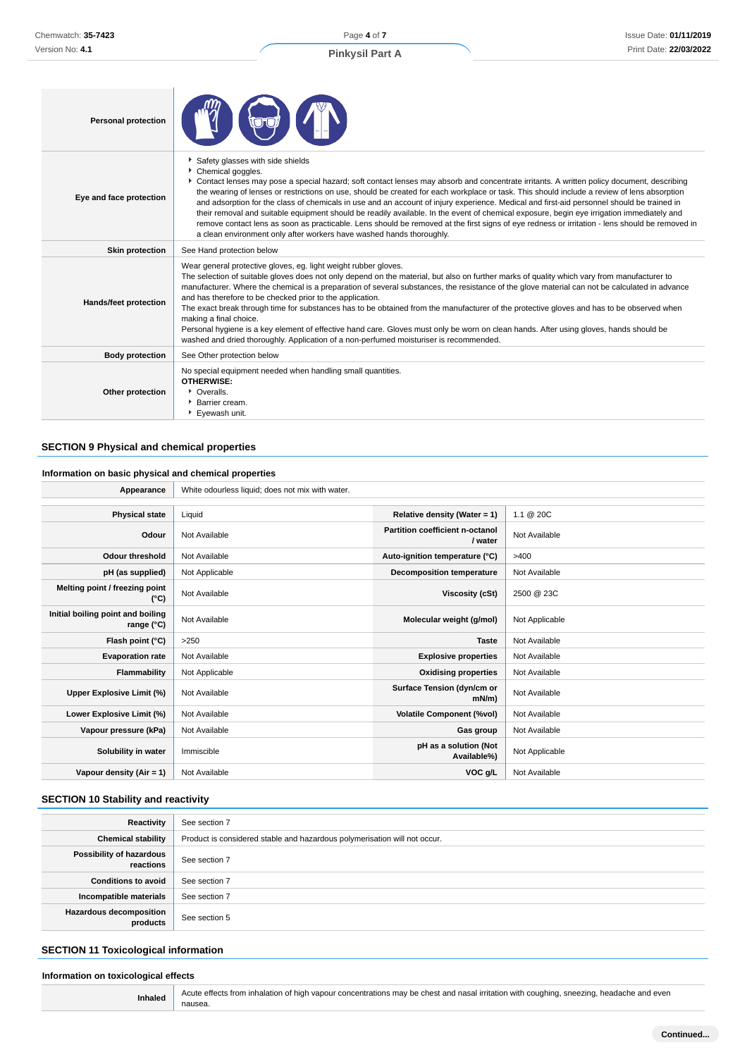Page **4** of **7 Pinkysil Part A**

# Issue Date: **01/11/2019** Print Date: **22/03/2022**

| <b>Personal protection</b>   |                                                                                                                                                                                                                                                                                                                                                                                                                                                                                                                                                                                                                                                                                                                                                                                                                                                                          |  |
|------------------------------|--------------------------------------------------------------------------------------------------------------------------------------------------------------------------------------------------------------------------------------------------------------------------------------------------------------------------------------------------------------------------------------------------------------------------------------------------------------------------------------------------------------------------------------------------------------------------------------------------------------------------------------------------------------------------------------------------------------------------------------------------------------------------------------------------------------------------------------------------------------------------|--|
| Eye and face protection      | Safety glasses with side shields<br>Chemical goggles.<br>▶ Contact lenses may pose a special hazard; soft contact lenses may absorb and concentrate irritants. A written policy document, describing<br>the wearing of lenses or restrictions on use, should be created for each workplace or task. This should include a review of lens absorption<br>and adsorption for the class of chemicals in use and an account of injury experience. Medical and first-aid personnel should be trained in<br>their removal and suitable equipment should be readily available. In the event of chemical exposure, begin eye irrigation immediately and<br>remove contact lens as soon as practicable. Lens should be removed at the first signs of eye redness or irritation - lens should be removed in<br>a clean environment only after workers have washed hands thoroughly. |  |
| <b>Skin protection</b>       | See Hand protection below                                                                                                                                                                                                                                                                                                                                                                                                                                                                                                                                                                                                                                                                                                                                                                                                                                                |  |
| <b>Hands/feet protection</b> | Wear general protective gloves, eg. light weight rubber gloves.<br>The selection of suitable gloves does not only depend on the material, but also on further marks of quality which vary from manufacturer to<br>manufacturer. Where the chemical is a preparation of several substances, the resistance of the glove material can not be calculated in advance<br>and has therefore to be checked prior to the application.<br>The exact break through time for substances has to be obtained from the manufacturer of the protective gloves and has to be observed when<br>making a final choice.<br>Personal hygiene is a key element of effective hand care. Gloves must only be worn on clean hands. After using gloves, hands should be<br>washed and dried thoroughly. Application of a non-perfumed moisturiser is recommended.                                 |  |
| <b>Body protection</b>       | See Other protection below                                                                                                                                                                                                                                                                                                                                                                                                                                                                                                                                                                                                                                                                                                                                                                                                                                               |  |
| Other protection             | No special equipment needed when handling small quantities.<br><b>OTHERWISE:</b><br>• Overalls.<br><b>Barrier cream.</b><br>Eyewash unit.                                                                                                                                                                                                                                                                                                                                                                                                                                                                                                                                                                                                                                                                                                                                |  |

# **SECTION 9 Physical and chemical properties**

# **Information on basic physical and chemical properties**

| Appearance                                      | White odourless liquid; does not mix with water. |                                                   |                |
|-------------------------------------------------|--------------------------------------------------|---------------------------------------------------|----------------|
|                                                 |                                                  |                                                   |                |
| <b>Physical state</b>                           | Liquid                                           | Relative density (Water = 1)                      | 1.1 @ 20C      |
| Odour                                           | Not Available                                    | <b>Partition coefficient n-octanol</b><br>/ water | Not Available  |
| Odour threshold                                 | Not Available                                    | Auto-ignition temperature (°C)                    | >400           |
| pH (as supplied)                                | Not Applicable                                   | <b>Decomposition temperature</b>                  | Not Available  |
| Melting point / freezing point<br>(°C)          | Not Available                                    | Viscosity (cSt)                                   | 2500 @ 23C     |
| Initial boiling point and boiling<br>range (°C) | Not Available                                    | Molecular weight (g/mol)                          | Not Applicable |
| Flash point (°C)                                | >250                                             | <b>Taste</b>                                      | Not Available  |
| <b>Evaporation rate</b>                         | Not Available                                    | <b>Explosive properties</b>                       | Not Available  |
| Flammability                                    | Not Applicable                                   | <b>Oxidising properties</b>                       | Not Available  |
| Upper Explosive Limit (%)                       | Not Available                                    | Surface Tension (dyn/cm or<br>$mN/m$ )            | Not Available  |
| Lower Explosive Limit (%)                       | Not Available                                    | <b>Volatile Component (%vol)</b>                  | Not Available  |
| Vapour pressure (kPa)                           | Not Available                                    | Gas group                                         | Not Available  |
| Solubility in water                             | Immiscible                                       | pH as a solution (Not<br>Available%)              | Not Applicable |
| Vapour density (Air = 1)                        | Not Available                                    | VOC g/L                                           | Not Available  |

# **SECTION 10 Stability and reactivity**

| Reactivity                                 | See section 7                                                             |
|--------------------------------------------|---------------------------------------------------------------------------|
| <b>Chemical stability</b>                  | Product is considered stable and hazardous polymerisation will not occur. |
| Possibility of hazardous                   |                                                                           |
| reactions                                  | See section 7                                                             |
| <b>Conditions to avoid</b>                 | See section 7                                                             |
| Incompatible materials                     | See section 7                                                             |
| <b>Hazardous decomposition</b><br>products | See section 5                                                             |

# **SECTION 11 Toxicological information**

# **Information on toxicological effects**

Inhaled Acute effects from inhalation of high vapour concentrations may be chest and nasal irritation with coughing, sneezing, headache and even nausea.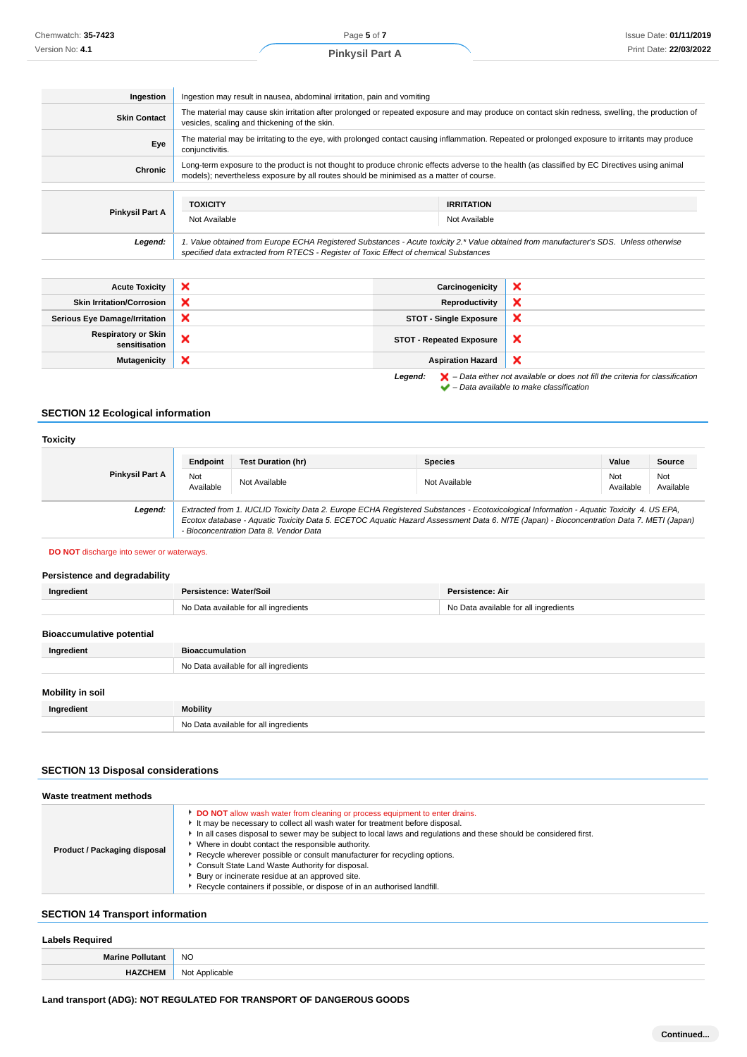| Ingestion                        | Ingestion may result in nausea, abdominal irritation, pain and vomiting                                                                                                                                                                   |                   |   |
|----------------------------------|-------------------------------------------------------------------------------------------------------------------------------------------------------------------------------------------------------------------------------------------|-------------------|---|
| <b>Skin Contact</b>              | The material may cause skin irritation after prolonged or repeated exposure and may produce on contact skin redness, swelling, the production of<br>vesicles, scaling and thickening of the skin.                                         |                   |   |
| Eye                              | The material may be irritating to the eye, with prolonged contact causing inflammation. Repeated or prolonged exposure to irritants may produce<br>conjunctivitis.                                                                        |                   |   |
| Chronic                          | Long-term exposure to the product is not thought to produce chronic effects adverse to the health (as classified by EC Directives using animal<br>models); nevertheless exposure by all routes should be minimised as a matter of course. |                   |   |
|                                  |                                                                                                                                                                                                                                           |                   |   |
|                                  | <b>TOXICITY</b>                                                                                                                                                                                                                           | <b>IRRITATION</b> |   |
| <b>Pinkysil Part A</b>           | Not Available                                                                                                                                                                                                                             | Not Available     |   |
| Legend:                          | 1. Value obtained from Europe ECHA Registered Substances - Acute toxicity 2.* Value obtained from manufacturer's SDS. Unless otherwise<br>specified data extracted from RTECS - Register of Toxic Effect of chemical Substances           |                   |   |
|                                  |                                                                                                                                                                                                                                           |                   |   |
| <b>Acute Toxicity</b>            | ×                                                                                                                                                                                                                                         | Carcinogenicity   | × |
| <b>Skin Irritation/Corrosion</b> | ×                                                                                                                                                                                                                                         | Reproductivity    |   |

| <b>ONIII IIIIIAUVIIIUOIIUSIVII</b>          | $\sim$ | Reproductivity                  | $\sim$ |
|---------------------------------------------|--------|---------------------------------|--------|
| <b>Serious Eye Damage/Irritation</b>        | ↗      | <b>STOT - Single Exposure</b>   |        |
| <b>Respiratory or Skin</b><br>sensitisation | ◠      | <b>STOT - Repeated Exposure</b> | ×      |
| <b>Mutagenicity</b>                         | ⌒      | <b>Aspiration Hazard</b>        | ◠      |
|                                             |        |                                 |        |



Legend:  $\blacktriangleright$  - Data either not available or does not fill the criteria for classification  $\blacktriangleright$  – Data available to make classification

# **SECTION 12 Ecological information**

#### **Toxicity Pinkysil Part A Endpoint Test Duration (hr) Species Value Source** Not<br>Available Not Not Available Not Available Not Available Not Available Not Available Not Ava<br>Available Ava Available Not Available **Legend:** Extracted from 1. IUCLID Toxicity Data 2. Europe ECHA Registered Substances - Ecotoxicological Information - Aquatic Toxicity 4. US EPA, Ecotox database - Aquatic Toxicity Data 5. ECETOC Aquatic Hazard Assessment Data 6. NITE (Japan) - Bioconcentration Data 7. METI (Japan) - Bioconcentration Data 8. Vendor Data

**DO NOT** discharge into sewer or waterways.

# **Persistence and degradability**

| Ingredient                       | Persistence: Water/Soil               | Persistence: Air                      |
|----------------------------------|---------------------------------------|---------------------------------------|
|                                  | No Data available for all ingredients | No Data available for all ingredients |
|                                  |                                       |                                       |
| <b>Bioaccumulative potential</b> |                                       |                                       |
| Ingredient                       | <b>Bioaccumulation</b>                |                                       |
|                                  | No Data available for all ingredients |                                       |
|                                  |                                       |                                       |
| Mobility in soil                 |                                       |                                       |
| Ingredient                       | <b>Mobility</b>                       |                                       |
|                                  | No Data available for all ingredients |                                       |

#### **SECTION 13 Disposal considerations**

| Waste treatment methods             |                                                                                                                                                                                                                                                                                                                                                                                                                                                                                                                                                                                                               |  |
|-------------------------------------|---------------------------------------------------------------------------------------------------------------------------------------------------------------------------------------------------------------------------------------------------------------------------------------------------------------------------------------------------------------------------------------------------------------------------------------------------------------------------------------------------------------------------------------------------------------------------------------------------------------|--|
| <b>Product / Packaging disposal</b> | <b>DO NOT</b> allow wash water from cleaning or process equipment to enter drains.<br>It may be necessary to collect all wash water for treatment before disposal.<br>In all cases disposal to sewer may be subject to local laws and regulations and these should be considered first.<br>Where in doubt contact the responsible authority.<br>▶ Recycle wherever possible or consult manufacturer for recycling options.<br>Consult State Land Waste Authority for disposal.<br>Bury or incinerate residue at an approved site.<br>Recycle containers if possible, or dispose of in an authorised landfill. |  |

# **SECTION 14 Transport information**

#### **Labels Required**

|                                      | Labois itcaalica |  |
|--------------------------------------|------------------|--|
| <b>NO</b><br><b>Marine Pollutant</b> |                  |  |
| ٦v<br>$\sim$ $\sim$                  | Not Applicable   |  |

# **Land transport (ADG): NOT REGULATED FOR TRANSPORT OF DANGEROUS GOODS**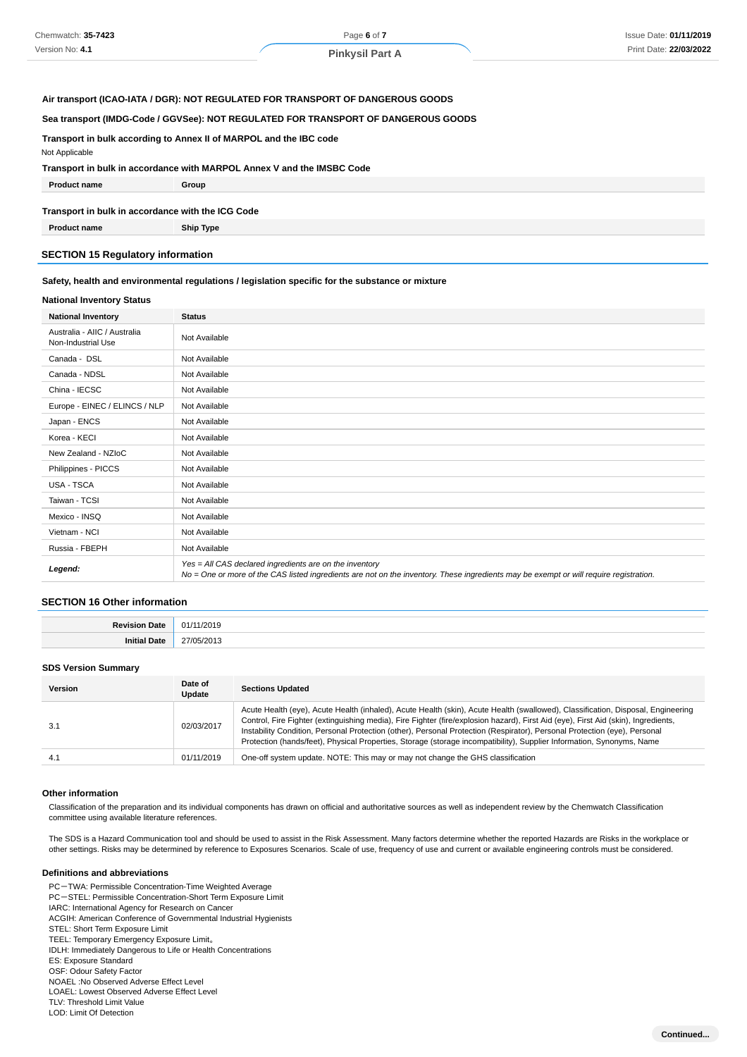#### **Air transport (ICAO-IATA / DGR): NOT REGULATED FOR TRANSPORT OF DANGEROUS GOODS**

#### **Sea transport (IMDG-Code / GGVSee): NOT REGULATED FOR TRANSPORT OF DANGEROUS GOODS**

**Transport in bulk according to Annex II of MARPOL and the IBC code**

Not Applicable

#### **Transport in bulk in accordance with MARPOL Annex V and the IMSBC Code**

| <b>Product name</b>                               | Group |  |  |  |
|---------------------------------------------------|-------|--|--|--|
| Transport in bulk in accordance with the ICG Code |       |  |  |  |

**Product name Ship Type**

#### **SECTION 15 Regulatory information**

#### **Safety, health and environmental regulations / legislation specific for the substance or mixture**

#### **National Inventory Status**

| <b>National Inventory</b>                          | <b>Status</b>                                                                                                                                                                                     |  |  |
|----------------------------------------------------|---------------------------------------------------------------------------------------------------------------------------------------------------------------------------------------------------|--|--|
| Australia - AIIC / Australia<br>Non-Industrial Use | Not Available                                                                                                                                                                                     |  |  |
| Canada - DSL                                       | Not Available                                                                                                                                                                                     |  |  |
| Canada - NDSL                                      | Not Available                                                                                                                                                                                     |  |  |
| China - IECSC                                      | Not Available                                                                                                                                                                                     |  |  |
| Europe - EINEC / ELINCS / NLP                      | Not Available                                                                                                                                                                                     |  |  |
| Japan - ENCS                                       | Not Available                                                                                                                                                                                     |  |  |
| Korea - KECI                                       | Not Available                                                                                                                                                                                     |  |  |
| New Zealand - NZIoC                                | Not Available                                                                                                                                                                                     |  |  |
| Philippines - PICCS                                | Not Available                                                                                                                                                                                     |  |  |
| USA - TSCA                                         | Not Available                                                                                                                                                                                     |  |  |
| Taiwan - TCSI                                      | Not Available                                                                                                                                                                                     |  |  |
| Mexico - INSQ                                      | Not Available                                                                                                                                                                                     |  |  |
| Vietnam - NCI                                      | Not Available                                                                                                                                                                                     |  |  |
| Russia - FBEPH                                     | Not Available                                                                                                                                                                                     |  |  |
| Legend:                                            | Yes = All CAS declared ingredients are on the inventory<br>No = One or more of the CAS listed ingredients are not on the inventory. These ingredients may be exempt or will require registration. |  |  |

#### **SECTION 16 Other information**

| <b>Povicion</b> | /2019 |
|-----------------|-------|
| Jate            | O1.   |
| Initial<br>Date | - ^∩^ |

#### **SDS Version Summary**

| <b>Version</b> | Date of<br>Update | <b>Sections Updated</b>                                                                                                                                                                                                                                                                                                                                                                                                                                                                                                      |
|----------------|-------------------|------------------------------------------------------------------------------------------------------------------------------------------------------------------------------------------------------------------------------------------------------------------------------------------------------------------------------------------------------------------------------------------------------------------------------------------------------------------------------------------------------------------------------|
| 3.1            | 02/03/2017        | Acute Health (eye), Acute Health (inhaled), Acute Health (skin), Acute Health (swallowed), Classification, Disposal, Engineering<br>Control, Fire Fighter (extinguishing media), Fire Fighter (fire/explosion hazard), First Aid (eye), First Aid (skin), Ingredients,<br>Instability Condition, Personal Protection (other), Personal Protection (Respirator), Personal Protection (eye), Personal<br>Protection (hands/feet), Physical Properties, Storage (storage incompatibility), Supplier Information, Synonyms, Name |
| 4.1            | 01/11/2019        | One-off system update. NOTE: This may or may not change the GHS classification                                                                                                                                                                                                                                                                                                                                                                                                                                               |

#### **Other information**

Classification of the preparation and its individual components has drawn on official and authoritative sources as well as independent review by the Chemwatch Classification committee using available literature references.

The SDS is a Hazard Communication tool and should be used to assist in the Risk Assessment. Many factors determine whether the reported Hazards are Risks in the workplace or other settings. Risks may be determined by reference to Exposures Scenarios. Scale of use, frequency of use and current or available engineering controls must be considered.

#### **Definitions and abbreviations**

PC-TWA: Permissible Concentration-Time Weighted Average PC-STEL: Permissible Concentration-Short Term Exposure Limit IARC: International Agency for Research on Cancer ACGIH: American Conference of Governmental Industrial Hygienists STEL: Short Term Exposure Limit TEEL: Temporary Emergency Exposure Limit。 IDLH: Immediately Dangerous to Life or Health Concentrations ES: Exposure Standard OSF: Odour Safety Factor NOAEL :No Observed Adverse Effect Level LOAEL: Lowest Observed Adverse Effect Level TLV: Threshold Limit Value LOD: Limit Of Detection